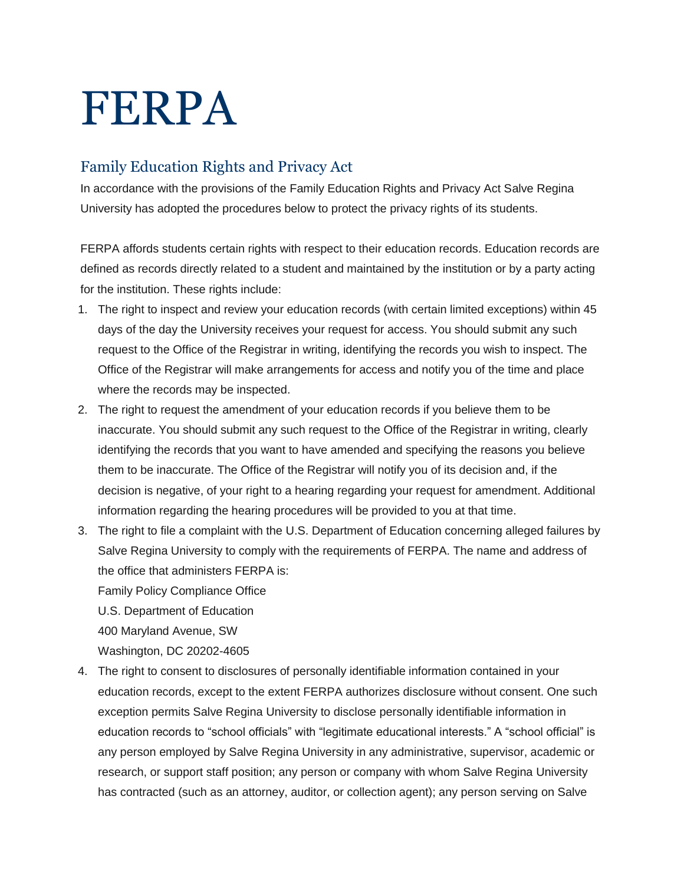## FERPA

## Family Education Rights and Privacy Act

In accordance with the provisions of the Family Education Rights and Privacy Act Salve Regina University has adopted the procedures below to protect the privacy rights of its students.

FERPA affords students certain rights with respect to their education records. Education records are defined as records directly related to a student and maintained by the institution or by a party acting for the institution. These rights include:

- 1. The right to inspect and review your education records (with certain limited exceptions) within 45 days of the day the University receives your request for access. You should submit any such request to the Office of the Registrar in writing, identifying the records you wish to inspect. The Office of the Registrar will make arrangements for access and notify you of the time and place where the records may be inspected.
- 2. The right to request the amendment of your education records if you believe them to be inaccurate. You should submit any such request to the Office of the Registrar in writing, clearly identifying the records that you want to have amended and specifying the reasons you believe them to be inaccurate. The Office of the Registrar will notify you of its decision and, if the decision is negative, of your right to a hearing regarding your request for amendment. Additional information regarding the hearing procedures will be provided to you at that time.
- 3. The right to file a complaint with the U.S. Department of Education concerning alleged failures by Salve Regina University to comply with the requirements of FERPA. The name and address of the office that administers FERPA is: Family Policy Compliance Office U.S. Department of Education 400 Maryland Avenue, SW Washington, DC 20202-4605
- 4. The right to consent to disclosures of personally identifiable information contained in your education records, except to the extent FERPA authorizes disclosure without consent. One such exception permits Salve Regina University to disclose personally identifiable information in education records to "school officials" with "legitimate educational interests." A "school official" is any person employed by Salve Regina University in any administrative, supervisor, academic or research, or support staff position; any person or company with whom Salve Regina University has contracted (such as an attorney, auditor, or collection agent); any person serving on Salve